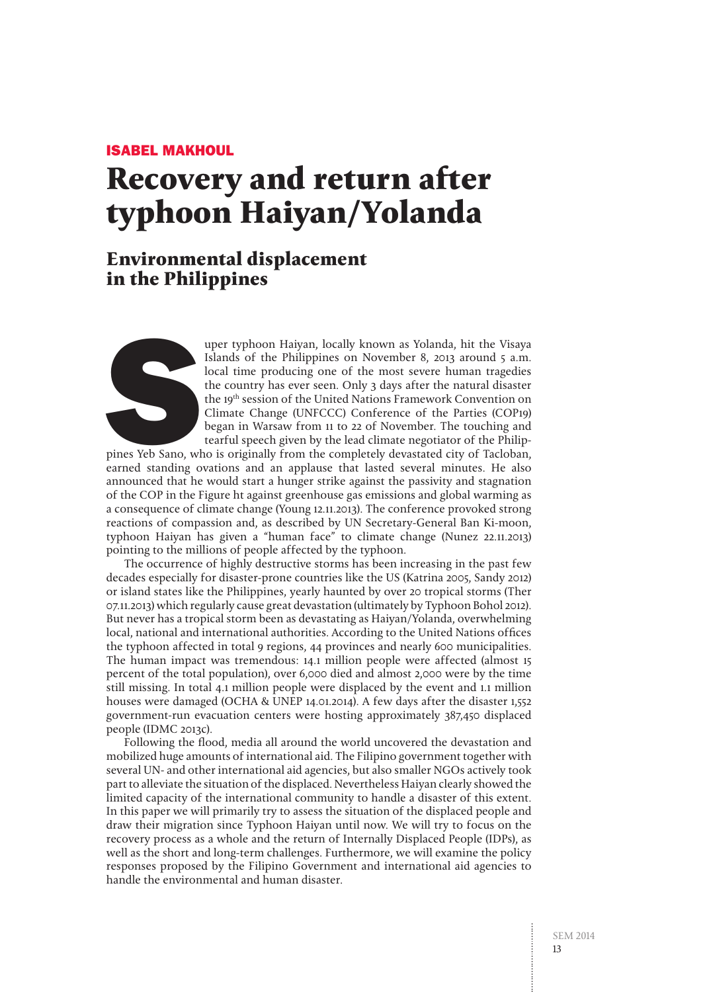## Isabel Makhoul

# **Recovery and return after typhoon Haiyan/Yolanda**

## **Environmental displacement in the Philippines**



uper typhoon Haiyan, locally known as Yolanda, hit the Visaya<br>Islands of the Philippines on November 8, 2013 around 5 a.m.<br>local time producing one of the most severe human tragedies<br>the country has ever seen. Only 3 days Islands of the Philippines on November 8, 2013 around 5 a.m. local time producing one of the most severe human tragedies the country has ever seen. Only 3 days after the natural disaster the 19th session of the United Nations Framework Convention on Climate Change (UNFCCC) Conference of the Parties (COP19) began in Warsaw from 11 to 22 of November. The touching and tearful speech given by the lead climate negotiator of the Philip-

pines Yeb Sano, who is originally from the completely devastated city of Tacloban, earned standing ovations and an applause that lasted several minutes. He also announced that he would start a hunger strike against the passivity and stagnation of the COP in the Figure ht against greenhouse gas emissions and global warming as a consequence of climate change (Young 12.11.2013). The conference provoked strong reactions of compassion and, as described by UN Secretary-General Ban Ki-moon, typhoon Haiyan has given a "human face" to climate change (Nunez 22.11.2013) pointing to the millions of people affected by the typhoon.

The occurrence of highly destructive storms has been increasing in the past few decades especially for disaster-prone countries like the US (Katrina 2005, Sandy 2012) or island states like the Philippines, yearly haunted by over 20 tropical storms (Ther 07.11.2013) which regularly cause great devastation (ultimately by Typhoon Bohol 2012). But never has a tropical storm been as devastating as Haiyan/Yolanda, overwhelming local, national and international authorities. According to the United Nations offices the typhoon affected in total 9 regions, 44 provinces and nearly 600 municipalities. The human impact was tremendous: 14.1 million people were affected (almost 15 percent of the total population), over 6,000 died and almost 2,000 were by the time still missing. In total 4.1 million people were displaced by the event and 1.1 million houses were damaged (OCHA & UNEP 14.01.2014). A few days after the disaster 1,552 government-run evacuation centers were hosting approximately 387,450 displaced people (IDMC 2013c).

Following the flood, media all around the world uncovered the devastation and mobilized huge amounts of international aid. The Filipino government together with several UN- and other international aid agencies, but also smaller NGOs actively took part to alleviate the situation of the displaced. Nevertheless Haiyan clearly showed the limited capacity of the international community to handle a disaster of this extent. In this paper we will primarily try to assess the situation of the displaced people and draw their migration since Typhoon Haiyan until now. We will try to focus on the recovery process as a whole and the return of Internally Displaced People (IDPs), as well as the short and long-term challenges. Furthermore, we will examine the policy responses proposed by the Filipino Government and international aid agencies to handle the environmental and human disaster.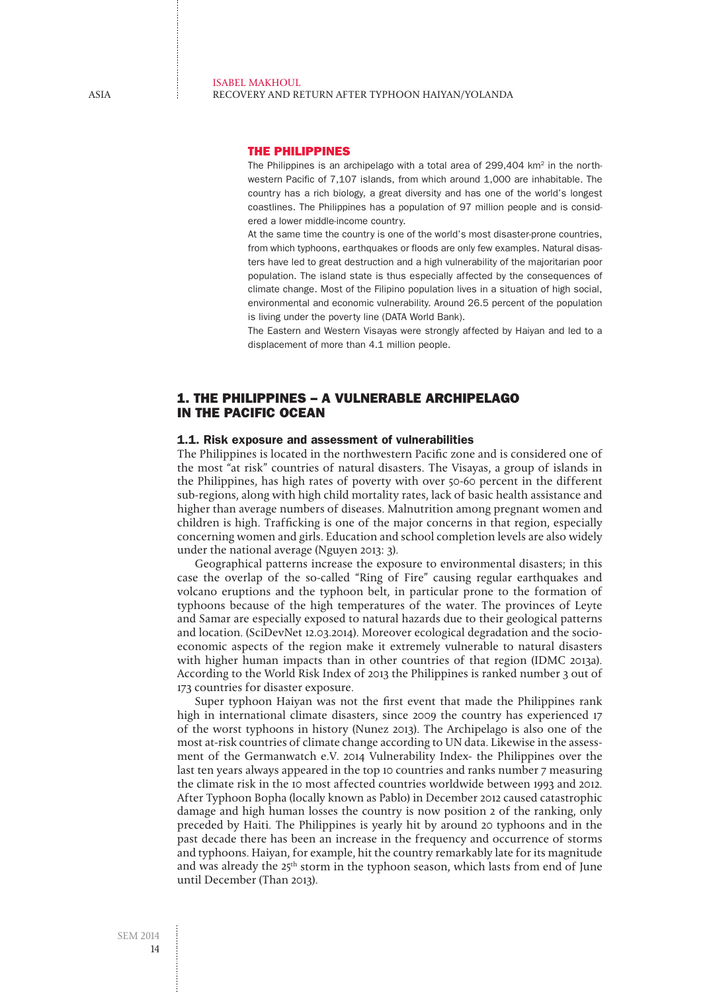#### Isabel Makhoul Recovery and return after typhoon Haiyan/Yolanda

## The Philippines

The Philippines is an archipelago with a total area of  $299.404$  km<sup>2</sup> in the northwestern Pacific of 7,107 islands, from which around 1,000 are inhabitable. The country has a rich biology, a great diversity and has one of the world's longest coastlines. The Philippines has a population of 97 million people and is considered a lower middle-income country.

At the same time the country is one of the world's most disaster-prone countries, from which typhoons, earthquakes or floods are only few examples. Natural disasters have led to great destruction and a high vulnerability of the majoritarian poor population. The island state is thus especially affected by the consequences of climate change. Most of the Filipino population lives in a situation of high social, environmental and economic vulnerability. Around 26.5 percent of the population is living under the poverty line (DATA World Bank).

The Eastern and Western Visayas were strongly affected by Haiyan and led to a displacement of more than 4.1 million people.

## 1. The Philippines – a vulnerable archipelago in the Pacific Ocean

## 1.1. Risk exposure and assessment of vulnerabilities

The Philippines is located in the northwestern Pacific zone and is considered one of the most "at risk" countries of natural disasters. The Visayas, a group of islands in the Philippines, has high rates of poverty with over 50-60 percent in the different sub-regions, along with high child mortality rates, lack of basic health assistance and higher than average numbers of diseases. Malnutrition among pregnant women and children is high. Trafficking is one of the major concerns in that region, especially concerning women and girls. Education and school completion levels are also widely under the national average (Nguyen 2013: 3).

Geographical patterns increase the exposure to environmental disasters; in this case the overlap of the so-called "Ring of Fire" causing regular earthquakes and volcano eruptions and the typhoon belt, in particular prone to the formation of typhoons because of the high temperatures of the water. The provinces of Leyte and Samar are especially exposed to natural hazards due to their geological patterns and location. (SciDevNet 12.03.2014). Moreover ecological degradation and the socioeconomic aspects of the region make it extremely vulnerable to natural disasters with higher human impacts than in other countries of that region (IDMC 2013a). According to the World Risk Index of 2013 the Philippines is ranked number 3 out of 173 countries for disaster exposure.

Super typhoon Haiyan was not the first event that made the Philippines rank high in international climate disasters, since 2009 the country has experienced 17 of the worst typhoons in history (Nunez 2013). The Archipelago is also one of the most at-risk countries of climate change according to UN data. Likewise in the assessment of the Germanwatch e.V. 2014 Vulnerability Index- the Philippines over the last ten years always appeared in the top 10 countries and ranks number 7 measuring the climate risk in the 10 most affected countries worldwide between 1993 and 2012. After Typhoon Bopha (locally known as Pablo) in December 2012 caused catastrophic damage and high human losses the country is now position 2 of the ranking, only preceded by Haiti. The Philippines is yearly hit by around 20 typhoons and in the past decade there has been an increase in the frequency and occurrence of storms and typhoons. Haiyan, for example, hit the country remarkably late for its magnitude and was already the 25<sup>th</sup> storm in the typhoon season, which lasts from end of June until December (Than 2013).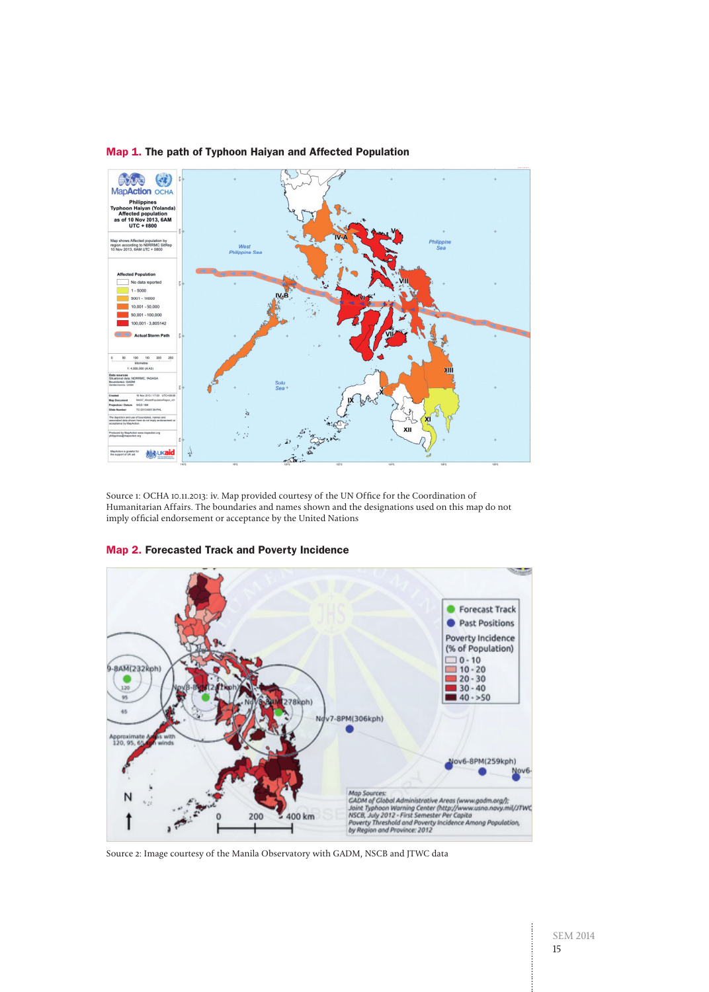

## Map 1. The path of Typhoon Haiyan and Affected Population

Source 1: OCHA 10.11.2013: iv. Map provided courtesy of the UN Office for the Coordination of Humanitarian Affairs. The boundaries and names shown and the designations used on this map do not imply official endorsement or acceptance by the United Nations



## Map 2. Forecasted Track and Poverty Incidence

Source 2: Image courtesy of the Manila Observatory with GADM, NSCB and JTWC data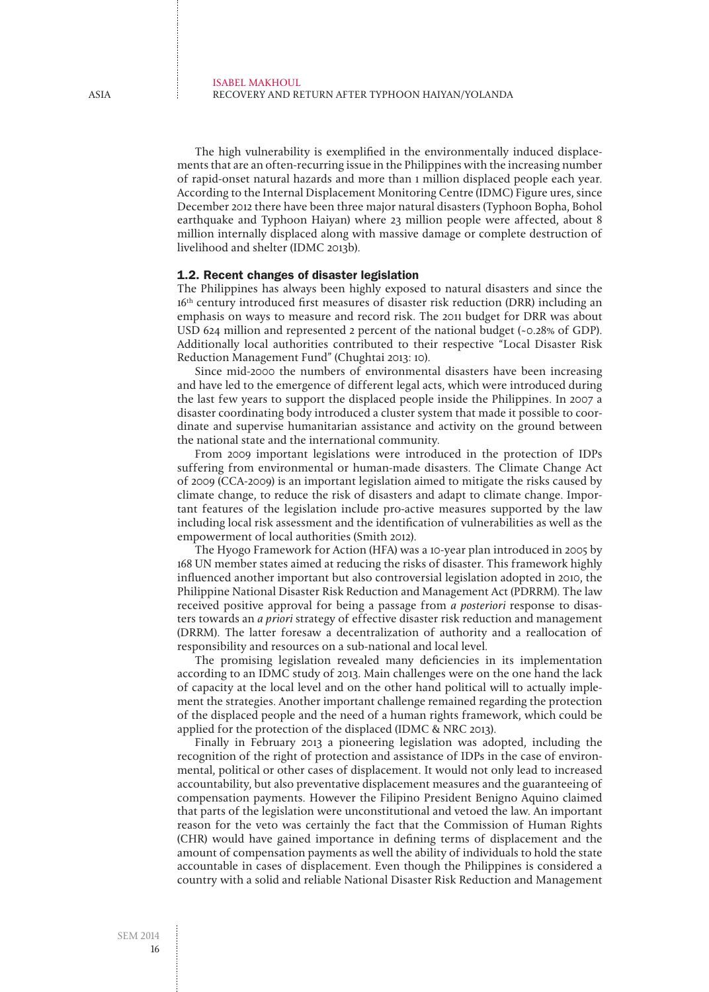The high vulnerability is exemplified in the environmentally induced displacements that are an often-recurring issue in the Philippines with the increasing number of rapid-onset natural hazards and more than 1 million displaced people each year. According to the Internal Displacement Monitoring Centre (IDMC) Figure ures, since December 2012 there have been three major natural disasters (Typhoon Bopha, Bohol earthquake and Typhoon Haiyan) where 23 million people were affected, about 8 million internally displaced along with massive damage or complete destruction of livelihood and shelter (IDMC 2013b).

## 1.2. Recent changes of disaster legislation

The Philippines has always been highly exposed to natural disasters and since the 16<sup>th</sup> century introduced first measures of disaster risk reduction (DRR) including an emphasis on ways to measure and record risk. The 2011 budget for DRR was about USD 624 million and represented 2 percent of the national budget (~0.28% of GDP). Additionally local authorities contributed to their respective "Local Disaster Risk Reduction Management Fund" (Chughtai 2013: 10).

Since mid-2000 the numbers of environmental disasters have been increasing and have led to the emergence of different legal acts, which were introduced during the last few years to support the displaced people inside the Philippines. In 2007 a disaster coordinating body introduced a cluster system that made it possible to coordinate and supervise humanitarian assistance and activity on the ground between the national state and the international community.

From 2009 important legislations were introduced in the protection of IDPs suffering from environmental or human-made disasters. The Climate Change Act of 2009 (CCA-2009) is an important legislation aimed to mitigate the risks caused by climate change, to reduce the risk of disasters and adapt to climate change. Important features of the legislation include pro-active measures supported by the law including local risk assessment and the identification of vulnerabilities as well as the empowerment of local authorities (Smith 2012).

The Hyogo Framework for Action (HFA) was a 10-year plan introduced in 2005 by 168 UN member states aimed at reducing the risks of disaster. This framework highly influenced another important but also controversial legislation adopted in 2010, the Philippine National Disaster Risk Reduction and Management Act (PDRRM). The law received positive approval for being a passage from *a posteriori* response to disasters towards an *a priori* strategy of effective disaster risk reduction and management (DRRM). The latter foresaw a decentralization of authority and a reallocation of responsibility and resources on a sub-national and local level.

The promising legislation revealed many deficiencies in its implementation according to an IDMC study of 2013. Main challenges were on the one hand the lack of capacity at the local level and on the other hand political will to actually implement the strategies. Another important challenge remained regarding the protection of the displaced people and the need of a human rights framework, which could be applied for the protection of the displaced (IDMC & NRC 2013).

Finally in February 2013 a pioneering legislation was adopted, including the recognition of the right of protection and assistance of IDPs in the case of environmental, political or other cases of displacement. It would not only lead to increased accountability, but also preventative displacement measures and the guaranteeing of compensation payments. However the Filipino President Benigno Aquino claimed that parts of the legislation were unconstitutional and vetoed the law. An important reason for the veto was certainly the fact that the Commission of Human Rights (CHR) would have gained importance in defining terms of displacement and the amount of compensation payments as well the ability of individuals to hold the state accountable in cases of displacement. Even though the Philippines is considered a country with a solid and reliable National Disaster Risk Reduction and Management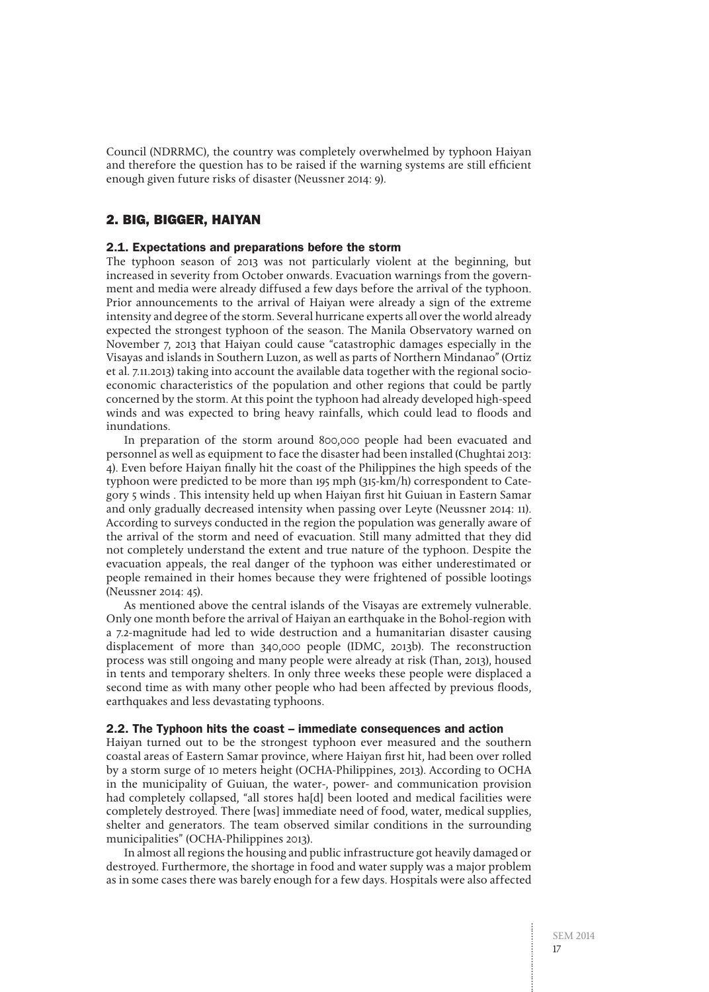Council (NDRRMC), the country was completely overwhelmed by typhoon Haiyan and therefore the question has to be raised if the warning systems are still efficient enough given future risks of disaster (Neussner 2014: 9).

## 2. Big, bigger, Haiyan

## 2.1. Expectations and preparations before the storm

The typhoon season of 2013 was not particularly violent at the beginning, but increased in severity from October onwards. Evacuation warnings from the government and media were already diffused a few days before the arrival of the typhoon. Prior announcements to the arrival of Haiyan were already a sign of the extreme intensity and degree of the storm. Several hurricane experts all over the world already expected the strongest typhoon of the season. The Manila Observatory warned on November 7, 2013 that Haiyan could cause "catastrophic damages especially in the Visayas and islands in Southern Luzon, as well as parts of Northern Mindanao" (Ortiz et al. 7.11.2013) taking into account the available data together with the regional socioeconomic characteristics of the population and other regions that could be partly concerned by the storm. At this point the typhoon had already developed high-speed winds and was expected to bring heavy rainfalls, which could lead to floods and inundations.

In preparation of the storm around 800,000 people had been evacuated and personnel as well as equipment to face the disaster had been installed (Chughtai 2013: 4). Even before Haiyan finally hit the coast of the Philippines the high speeds of the typhoon were predicted to be more than 195 mph (315-km/h) correspondent to Category 5 winds . This intensity held up when Haiyan first hit Guiuan in Eastern Samar and only gradually decreased intensity when passing over Leyte (Neussner 2014: 11). According to surveys conducted in the region the population was generally aware of the arrival of the storm and need of evacuation. Still many admitted that they did not completely understand the extent and true nature of the typhoon. Despite the evacuation appeals, the real danger of the typhoon was either underestimated or people remained in their homes because they were frightened of possible lootings (Neussner 2014: 45).

As mentioned above the central islands of the Visayas are extremely vulnerable. Only one month before the arrival of Haiyan an earthquake in the Bohol-region with a 7.2-magnitude had led to wide destruction and a humanitarian disaster causing displacement of more than 340,000 people (IDMC, 2013b). The reconstruction process was still ongoing and many people were already at risk (Than, 2013), housed in tents and temporary shelters. In only three weeks these people were displaced a second time as with many other people who had been affected by previous floods, earthquakes and less devastating typhoons.

## 2.2. The Typhoon hits the coast – immediate consequences and action

Haiyan turned out to be the strongest typhoon ever measured and the southern coastal areas of Eastern Samar province, where Haiyan first hit, had been over rolled by a storm surge of 10 meters height (OCHA-Philippines, 2013). According to OCHA in the municipality of Guiuan, the water-, power- and communication provision had completely collapsed, "all stores ha[d] been looted and medical facilities were completely destroyed. There [was] immediate need of food, water, medical supplies, shelter and generators. The team observed similar conditions in the surrounding municipalities" (OCHA-Philippines 2013).

In almost all regions the housing and public infrastructure got heavily damaged or destroyed. Furthermore, the shortage in food and water supply was a major problem as in some cases there was barely enough for a few days. Hospitals were also affected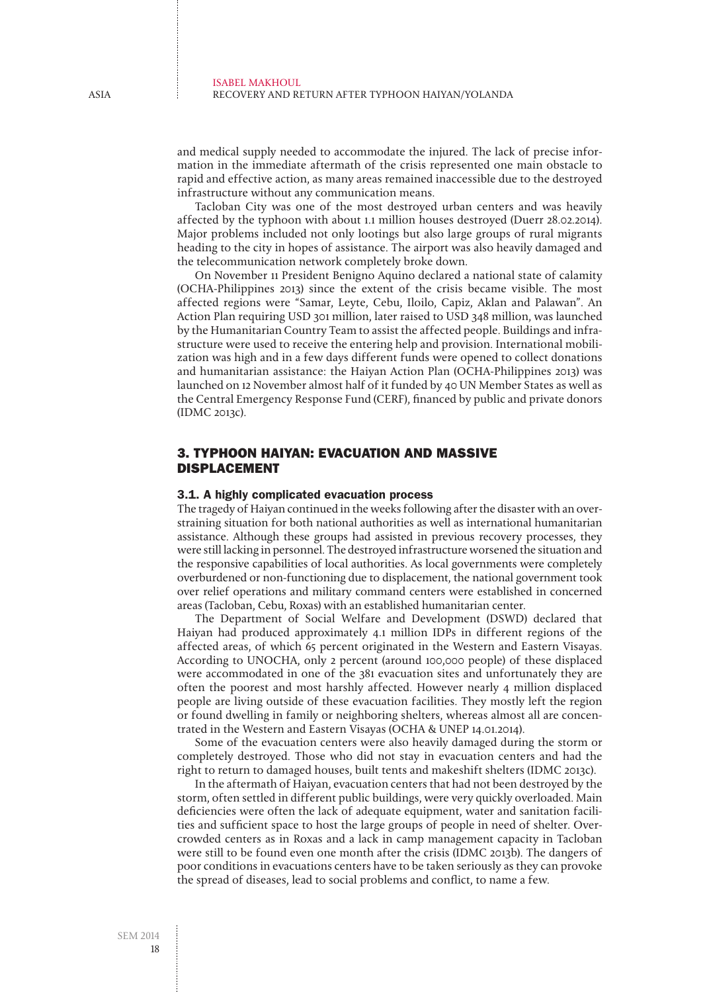and medical supply needed to accommodate the injured. The lack of precise information in the immediate aftermath of the crisis represented one main obstacle to rapid and effective action, as many areas remained inaccessible due to the destroyed infrastructure without any communication means.

Tacloban City was one of the most destroyed urban centers and was heavily affected by the typhoon with about 1.1 million houses destroyed (Duerr 28.02.2014). Major problems included not only lootings but also large groups of rural migrants heading to the city in hopes of assistance. The airport was also heavily damaged and the telecommunication network completely broke down.

On November 11 President Benigno Aquino declared a national state of calamity (OCHA-Philippines 2013) since the extent of the crisis became visible. The most affected regions were "Samar, Leyte, Cebu, Iloilo, Capiz, Aklan and Palawan". An Action Plan requiring USD 301 million, later raised to USD 348 million, was launched by the Humanitarian Country Team to assist the affected people. Buildings and infrastructure were used to receive the entering help and provision. International mobilization was high and in a few days different funds were opened to collect donations and humanitarian assistance: the Haiyan Action Plan (OCHA-Philippines 2013) was launched on 12 November almost half of it funded by 40 UN Member States as well as the Central Emergency Response Fund (CERF), financed by public and private donors (IDMC 2013c).

## 3. Typhoon Haiyan: Evacuation and Massive Displacement

## 3.1. A highly complicated evacuation process

The tragedy of Haiyan continued in the weeks following after the disaster with an overstraining situation for both national authorities as well as international humanitarian assistance. Although these groups had assisted in previous recovery processes, they were still lacking in personnel. The destroyed infrastructure worsened the situation and the responsive capabilities of local authorities. As local governments were completely overburdened or non-functioning due to displacement, the national government took over relief operations and military command centers were established in concerned areas (Tacloban, Cebu, Roxas) with an established humanitarian center.

The Department of Social Welfare and Development (DSWD) declared that Haiyan had produced approximately 4.1 million IDPs in different regions of the affected areas, of which 65 percent originated in the Western and Eastern Visayas. According to UNOCHA, only 2 percent (around 100,000 people) of these displaced were accommodated in one of the 381 evacuation sites and unfortunately they are often the poorest and most harshly affected. However nearly 4 million displaced people are living outside of these evacuation facilities. They mostly left the region or found dwelling in family or neighboring shelters, whereas almost all are concentrated in the Western and Eastern Visayas (OCHA & UNEP 14.01.2014).

Some of the evacuation centers were also heavily damaged during the storm or completely destroyed. Those who did not stay in evacuation centers and had the right to return to damaged houses, built tents and makeshift shelters (IDMC 2013c).

In the aftermath of Haiyan, evacuation centers that had not been destroyed by the storm, often settled in different public buildings, were very quickly overloaded. Main deficiencies were often the lack of adequate equipment, water and sanitation facilities and sufficient space to host the large groups of people in need of shelter. Overcrowded centers as in Roxas and a lack in camp management capacity in Tacloban were still to be found even one month after the crisis (IDMC 2013b). The dangers of poor conditions in evacuations centers have to be taken seriously as they can provoke the spread of diseases, lead to social problems and conflict, to name a few.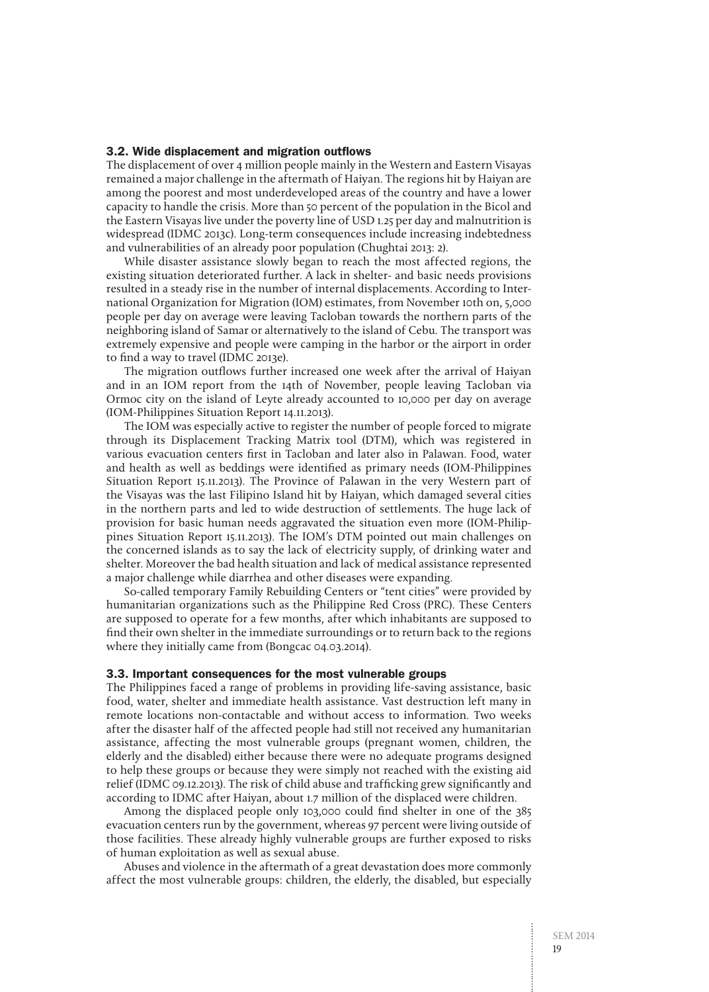#### 3.2. Wide displacement and migration outflows

The displacement of over 4 million people mainly in the Western and Eastern Visayas remained a major challenge in the aftermath of Haiyan. The regions hit by Haiyan are among the poorest and most underdeveloped areas of the country and have a lower capacity to handle the crisis. More than 50 percent of the population in the Bicol and the Eastern Visayas live under the poverty line of USD 1.25 per day and malnutrition is widespread (IDMC 2013c). Long-term consequences include increasing indebtedness and vulnerabilities of an already poor population (Chughtai 2013: 2).

While disaster assistance slowly began to reach the most affected regions, the existing situation deteriorated further. A lack in shelter- and basic needs provisions resulted in a steady rise in the number of internal displacements. According to International Organization for Migration (IOM) estimates, from November 10th on, 5,000 people per day on average were leaving Tacloban towards the northern parts of the neighboring island of Samar or alternatively to the island of Cebu. The transport was extremely expensive and people were camping in the harbor or the airport in order to find a way to travel (IDMC 2013e).

The migration outflows further increased one week after the arrival of Haiyan and in an IOM report from the 14th of November, people leaving Tacloban via Ormoc city on the island of Leyte already accounted to 10,000 per day on average (IOM-Philippines Situation Report 14.11.2013).

The IOM was especially active to register the number of people forced to migrate through its Displacement Tracking Matrix tool (DTM), which was registered in various evacuation centers first in Tacloban and later also in Palawan. Food, water and health as well as beddings were identified as primary needs (IOM-Philippines Situation Report 15.11.2013). The Province of Palawan in the very Western part of the Visayas was the last Filipino Island hit by Haiyan, which damaged several cities in the northern parts and led to wide destruction of settlements. The huge lack of provision for basic human needs aggravated the situation even more (IOM-Philippines Situation Report 15.11.2013). The IOM's DTM pointed out main challenges on the concerned islands as to say the lack of electricity supply, of drinking water and shelter. Moreover the bad health situation and lack of medical assistance represented a major challenge while diarrhea and other diseases were expanding.

So-called temporary Family Rebuilding Centers or "tent cities" were provided by humanitarian organizations such as the Philippine Red Cross (PRC). These Centers are supposed to operate for a few months, after which inhabitants are supposed to find their own shelter in the immediate surroundings or to return back to the regions where they initially came from (Bongcac 04.03.2014).

## 3.3. Important consequences for the most vulnerable groups

The Philippines faced a range of problems in providing life-saving assistance, basic food, water, shelter and immediate health assistance. Vast destruction left many in remote locations non-contactable and without access to information. Two weeks after the disaster half of the affected people had still not received any humanitarian assistance, affecting the most vulnerable groups (pregnant women, children, the elderly and the disabled) either because there were no adequate programs designed to help these groups or because they were simply not reached with the existing aid relief (IDMC 09.12.2013). The risk of child abuse and trafficking grew significantly and according to IDMC after Haiyan, about 1.7 million of the displaced were children.

Among the displaced people only 103,000 could find shelter in one of the 385 evacuation centers run by the government, whereas 97 percent were living outside of those facilities. These already highly vulnerable groups are further exposed to risks of human exploitation as well as sexual abuse.

Abuses and violence in the aftermath of a great devastation does more commonly affect the most vulnerable groups: children, the elderly, the disabled, but especially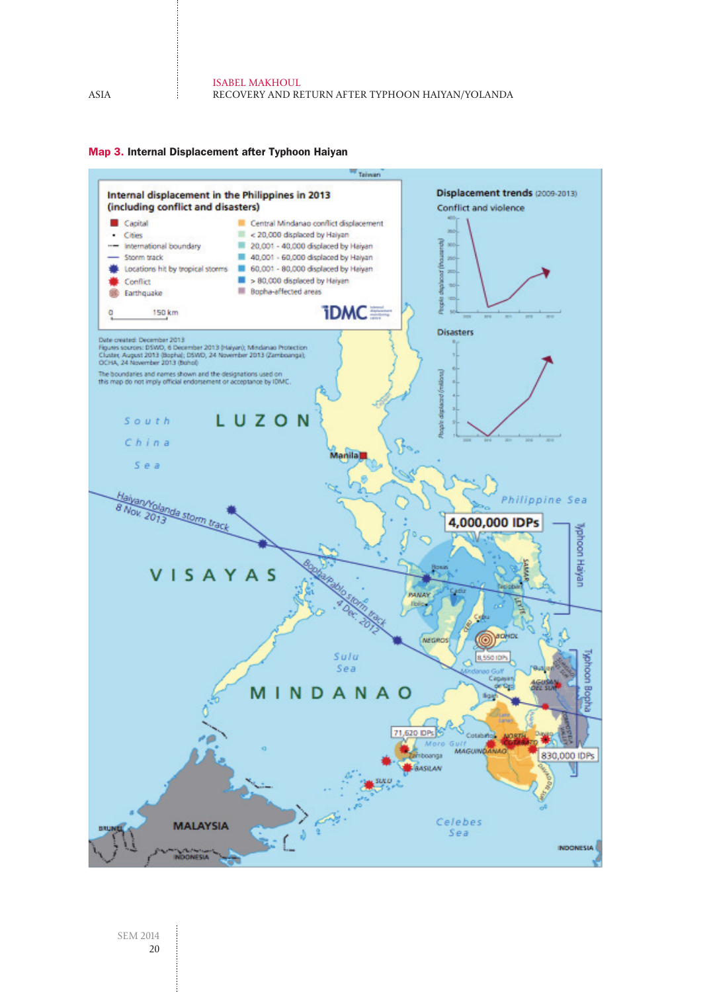

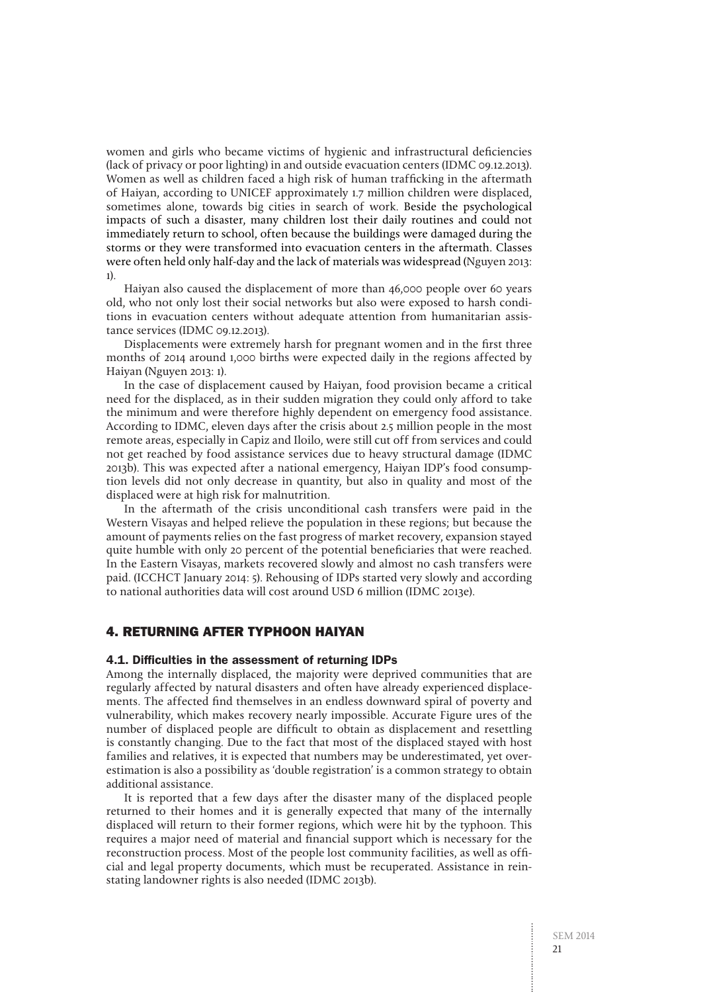women and girls who became victims of hygienic and infrastructural deficiencies (lack of privacy or poor lighting) in and outside evacuation centers (IDMC 09.12.2013). Women as well as children faced a high risk of human trafficking in the aftermath of Haiyan, according to UNICEF approximately 1.7 million children were displaced, sometimes alone, towards big cities in search of work. Beside the psychological impacts of such a disaster, many children lost their daily routines and could not immediately return to school, often because the buildings were damaged during the storms or they were transformed into evacuation centers in the aftermath. Classes were often held only half-day and the lack of materials was widespread (Nguyen 2013: 1).

Haiyan also caused the displacement of more than 46,000 people over 60 years old, who not only lost their social networks but also were exposed to harsh conditions in evacuation centers without adequate attention from humanitarian assistance services (IDMC 09.12.2013).

Displacements were extremely harsh for pregnant women and in the first three months of 2014 around 1,000 births were expected daily in the regions affected by Haiyan (Nguyen 2013: 1).

In the case of displacement caused by Haiyan, food provision became a critical need for the displaced, as in their sudden migration they could only afford to take the minimum and were therefore highly dependent on emergency food assistance. According to IDMC, eleven days after the crisis about 2.5 million people in the most remote areas, especially in Capiz and Iloilo, were still cut off from services and could not get reached by food assistance services due to heavy structural damage (IDMC 2013b). This was expected after a national emergency, Haiyan IDP's food consumption levels did not only decrease in quantity, but also in quality and most of the displaced were at high risk for malnutrition.

In the aftermath of the crisis unconditional cash transfers were paid in the Western Visayas and helped relieve the population in these regions; but because the amount of payments relies on the fast progress of market recovery, expansion stayed quite humble with only 20 percent of the potential beneficiaries that were reached. In the Eastern Visayas, markets recovered slowly and almost no cash transfers were paid. (ICCHCT January 2014: 5). Rehousing of IDPs started very slowly and according to national authorities data will cost around USD 6 million (IDMC 2013e).

## 4. Returning after Typhoon Haiyan

#### 4.1. Difficulties in the assessment of returning IDPs

Among the internally displaced, the majority were deprived communities that are regularly affected by natural disasters and often have already experienced displacements. The affected find themselves in an endless downward spiral of poverty and vulnerability, which makes recovery nearly impossible. Accurate Figure ures of the number of displaced people are difficult to obtain as displacement and resettling is constantly changing. Due to the fact that most of the displaced stayed with host families and relatives, it is expected that numbers may be underestimated, yet overestimation is also a possibility as 'double registration' is a common strategy to obtain additional assistance.

It is reported that a few days after the disaster many of the displaced people returned to their homes and it is generally expected that many of the internally displaced will return to their former regions, which were hit by the typhoon. This requires a major need of material and financial support which is necessary for the reconstruction process. Most of the people lost community facilities, as well as official and legal property documents, which must be recuperated. Assistance in reinstating landowner rights is also needed (IDMC 2013b).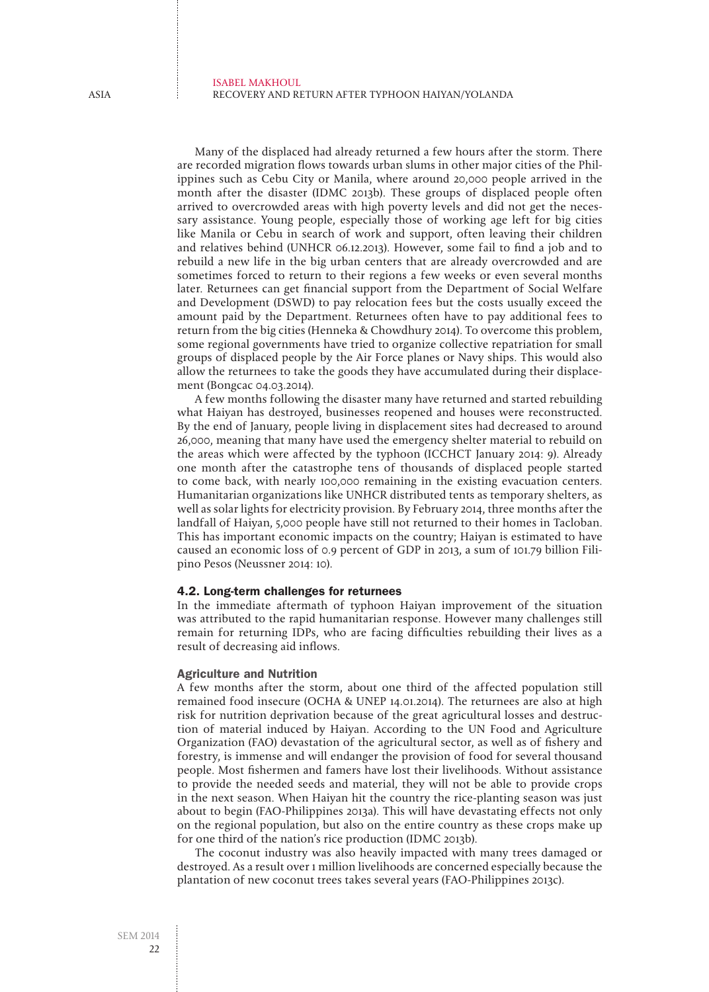Many of the displaced had already returned a few hours after the storm. There are recorded migration flows towards urban slums in other major cities of the Philippines such as Cebu City or Manila, where around 20,000 people arrived in the month after the disaster (IDMC 2013b). These groups of displaced people often arrived to overcrowded areas with high poverty levels and did not get the necessary assistance. Young people, especially those of working age left for big cities like Manila or Cebu in search of work and support, often leaving their children and relatives behind (UNHCR 06.12.2013). However, some fail to find a job and to rebuild a new life in the big urban centers that are already overcrowded and are sometimes forced to return to their regions a few weeks or even several months later. Returnees can get financial support from the Department of Social Welfare and Development (DSWD) to pay relocation fees but the costs usually exceed the amount paid by the Department. Returnees often have to pay additional fees to return from the big cities (Henneka & Chowdhury 2014). To overcome this problem, some regional governments have tried to organize collective repatriation for small groups of displaced people by the Air Force planes or Navy ships. This would also allow the returnees to take the goods they have accumulated during their displacement (Bongcac 04.03.2014).

A few months following the disaster many have returned and started rebuilding what Haiyan has destroyed, businesses reopened and houses were reconstructed. By the end of January, people living in displacement sites had decreased to around 26,000, meaning that many have used the emergency shelter material to rebuild on the areas which were affected by the typhoon (ICCHCT January 2014: 9). Already one month after the catastrophe tens of thousands of displaced people started to come back, with nearly 100,000 remaining in the existing evacuation centers. Humanitarian organizations like UNHCR distributed tents as temporary shelters, as well as solar lights for electricity provision. By February 2014, three months after the landfall of Haiyan, 5,000 people have still not returned to their homes in Tacloban. This has important economic impacts on the country; Haiyan is estimated to have caused an economic loss of 0.9 percent of GDP in 2013, a sum of 101.79 billion Filipino Pesos (Neussner 2014: 10).

## 4.2. Long-term challenges for returnees

In the immediate aftermath of typhoon Haiyan improvement of the situation was attributed to the rapid humanitarian response. However many challenges still remain for returning IDPs, who are facing difficulties rebuilding their lives as a result of decreasing aid inflows.

#### Agriculture and Nutrition

A few months after the storm, about one third of the affected population still remained food insecure (OCHA & UNEP 14.01.2014). The returnees are also at high risk for nutrition deprivation because of the great agricultural losses and destruction of material induced by Haiyan. According to the UN Food and Agriculture Organization (FAO) devastation of the agricultural sector, as well as of fishery and forestry, is immense and will endanger the provision of food for several thousand people. Most fishermen and famers have lost their livelihoods. Without assistance to provide the needed seeds and material, they will not be able to provide crops in the next season. When Haiyan hit the country the rice-planting season was just about to begin (FAO-Philippines 2013a). This will have devastating effects not only on the regional population, but also on the entire country as these crops make up for one third of the nation's rice production (IDMC 2013b).

The coconut industry was also heavily impacted with many trees damaged or destroyed. As a result over 1 million livelihoods are concerned especially because the plantation of new coconut trees takes several years (FAO-Philippines 2013c).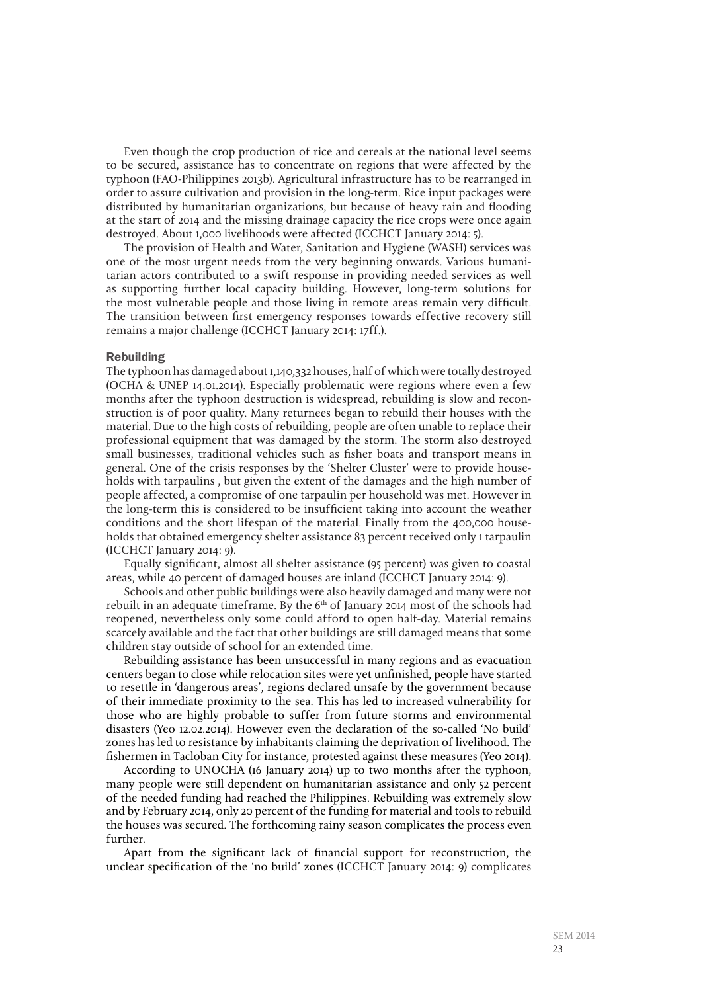Even though the crop production of rice and cereals at the national level seems to be secured, assistance has to concentrate on regions that were affected by the typhoon (FAO-Philippines 2013b). Agricultural infrastructure has to be rearranged in order to assure cultivation and provision in the long-term. Rice input packages were distributed by humanitarian organizations, but because of heavy rain and flooding at the start of 2014 and the missing drainage capacity the rice crops were once again destroyed. About 1,000 livelihoods were affected (ICCHCT January 2014: 5).

The provision of Health and Water, Sanitation and Hygiene (WASH) services was one of the most urgent needs from the very beginning onwards. Various humanitarian actors contributed to a swift response in providing needed services as well as supporting further local capacity building. However, long-term solutions for the most vulnerable people and those living in remote areas remain very difficult. The transition between first emergency responses towards effective recovery still remains a major challenge (ICCHCT January 2014: 17ff.).

## Rebuilding

The typhoon has damaged about 1,140,332 houses, half of which were totally destroyed (OCHA & UNEP 14.01.2014). Especially problematic were regions where even a few months after the typhoon destruction is widespread, rebuilding is slow and reconstruction is of poor quality. Many returnees began to rebuild their houses with the material. Due to the high costs of rebuilding, people are often unable to replace their professional equipment that was damaged by the storm. The storm also destroyed small businesses, traditional vehicles such as fisher boats and transport means in general. One of the crisis responses by the 'Shelter Cluster' were to provide households with tarpaulins , but given the extent of the damages and the high number of people affected, a compromise of one tarpaulin per household was met. However in the long-term this is considered to be insufficient taking into account the weather conditions and the short lifespan of the material. Finally from the 400,000 households that obtained emergency shelter assistance 83 percent received only 1 tarpaulin (ICCHCT January 2014: 9).

Equally significant, almost all shelter assistance (95 percent) was given to coastal areas, while 40 percent of damaged houses are inland (ICCHCT January 2014: 9).

Schools and other public buildings were also heavily damaged and many were not rebuilt in an adequate timeframe. By the  $6<sup>th</sup>$  of January 2014 most of the schools had reopened, nevertheless only some could afford to open half-day. Material remains scarcely available and the fact that other buildings are still damaged means that some children stay outside of school for an extended time.

Rebuilding assistance has been unsuccessful in many regions and as evacuation centers began to close while relocation sites were yet unfinished, people have started to resettle in 'dangerous areas', regions declared unsafe by the government because of their immediate proximity to the sea. This has led to increased vulnerability for those who are highly probable to suffer from future storms and environmental disasters (Yeo 12.02.2014). However even the declaration of the so-called 'No build' zones has led to resistance by inhabitants claiming the deprivation of livelihood. The fishermen in Tacloban City for instance, protested against these measures (Yeo 2014).

According to UNOCHA (16 January 2014) up to two months after the typhoon, many people were still dependent on humanitarian assistance and only 52 percent of the needed funding had reached the Philippines. Rebuilding was extremely slow and by February 2014, only 20 percent of the funding for material and tools to rebuild the houses was secured. The forthcoming rainy season complicates the process even further.

Apart from the significant lack of financial support for reconstruction, the unclear specification of the 'no build' zones (ICCHCT January 2014: 9) complicates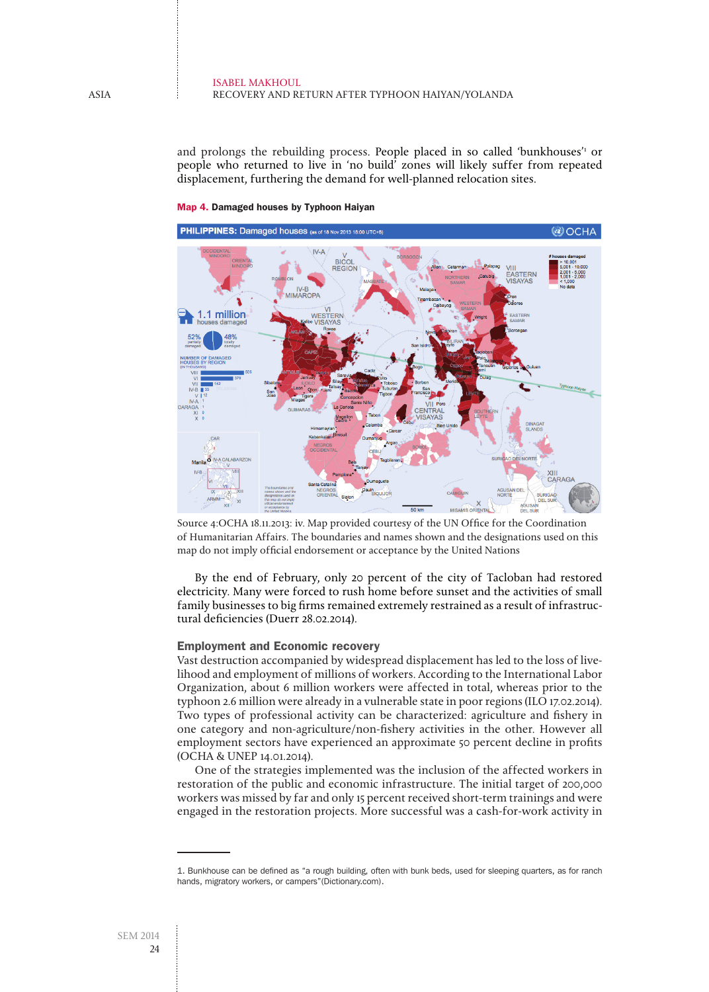#### Isabel Makhoul Recovery and return after typhoon Haiyan/Yolanda

and prolongs the rebuilding process. People placed in so called 'bunkhouses'<sup>1</sup> or people who returned to live in 'no build' zones will likely suffer from repeated displacement, furthering the demand for well-planned relocation sites.



Map 4. Damaged houses by Typhoon Haiyan

Source 4:OCHA 18.11.2013: iv. Map provided courtesy of the UN Office for the Coordination of Humanitarian Affairs. The boundaries and names shown and the designations used on this map do not imply official endorsement or acceptance by the United Nations

By the end of February, only 20 percent of the city of Tacloban had restored electricity. Many were forced to rush home before sunset and the activities of small family businesses to big firms remained extremely restrained as a result of infrastructural deficiencies (Duerr 28.02.2014).

## Employment and Economic recovery

Vast destruction accompanied by widespread displacement has led to the loss of livelihood and employment of millions of workers. According to the International Labor Organization, about 6 million workers were affected in total, whereas prior to the typhoon 2.6 million were already in a vulnerable state in poor regions (ILO 17.02.2014). Two types of professional activity can be characterized: agriculture and fishery in one category and non-agriculture/non-fishery activities in the other. However all employment sectors have experienced an approximate 50 percent decline in profits (OCHA & UNEP 14.01.2014).

One of the strategies implemented was the inclusion of the affected workers in restoration of the public and economic infrastructure. The initial target of 200,000 workers was missed by far and only 15 percent received short-term trainings and were engaged in the restoration projects. More successful was a cash-for-work activity in

<sup>1.</sup> Bunkhouse can be defined as "a rough building, often with bunk beds, used for sleeping quarters, as for ranch hands, migratory workers, or campers"(Dictionary.com).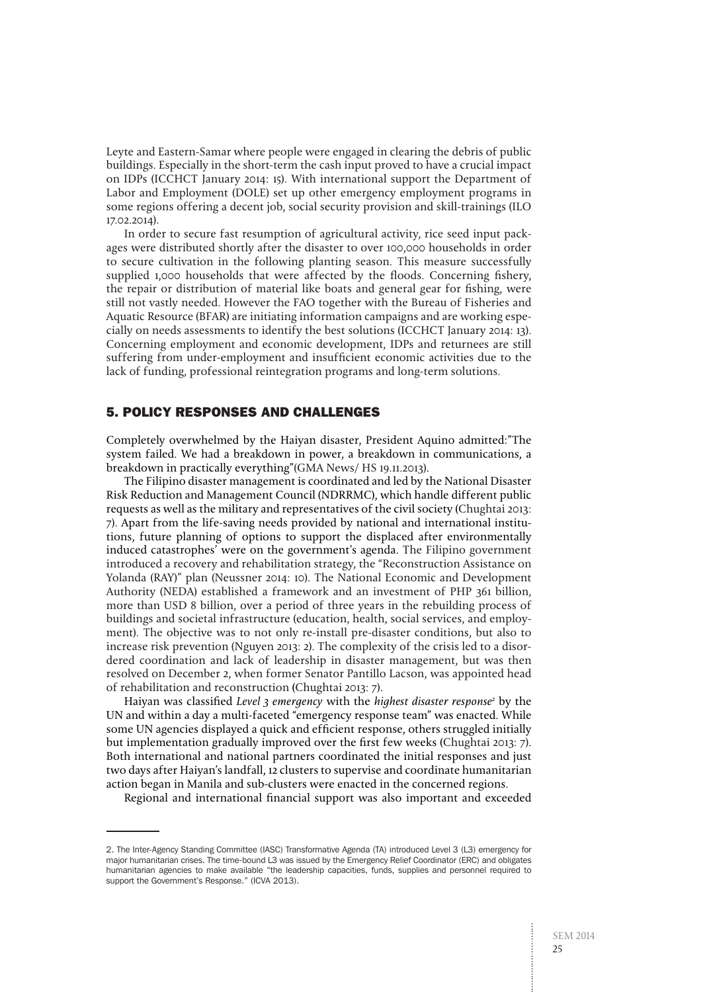Leyte and Eastern-Samar where people were engaged in clearing the debris of public buildings. Especially in the short-term the cash input proved to have a crucial impact on IDPs (ICCHCT January 2014: 15). With international support the Department of Labor and Employment (DOLE) set up other emergency employment programs in some regions offering a decent job, social security provision and skill-trainings (ILO 17.02.2014).

In order to secure fast resumption of agricultural activity, rice seed input packages were distributed shortly after the disaster to over 100,000 households in order to secure cultivation in the following planting season. This measure successfully supplied 1,000 households that were affected by the floods. Concerning fishery, the repair or distribution of material like boats and general gear for fishing, were still not vastly needed. However the FAO together with the Bureau of Fisheries and Aquatic Resource (BFAR) are initiating information campaigns and are working especially on needs assessments to identify the best solutions (ICCHCT January 2014: 13). Concerning employment and economic development, IDPs and returnees are still suffering from under-employment and insufficient economic activities due to the lack of funding, professional reintegration programs and long-term solutions.

## 5. Policy Responses and Challenges

Completely overwhelmed by the Haiyan disaster, President Aquino admitted:"The system failed. We had a breakdown in power, a breakdown in communications, a breakdown in practically everything"(GMA News/ HS 19.11.2013).

The Filipino disaster management is coordinated and led by the National Disaster Risk Reduction and Management Council (NDRRMC), which handle different public requests as well as the military and representatives of the civil society (Chughtai 2013: 7). Apart from the life-saving needs provided by national and international institutions, future planning of options to support the displaced after environmentally induced catastrophes' were on the government's agenda. The Filipino government introduced a recovery and rehabilitation strategy, the "Reconstruction Assistance on Yolanda (RAY)" plan (Neussner 2014: 10). The National Economic and Development Authority (NEDA) established a framework and an investment of PHP 361 billion, more than USD 8 billion, over a period of three years in the rebuilding process of buildings and societal infrastructure (education, health, social services, and employment). The objective was to not only re-install pre-disaster conditions, but also to increase risk prevention (Nguyen 2013: 2). The complexity of the crisis led to a disordered coordination and lack of leadership in disaster management, but was then resolved on December 2, when former Senator Pantillo Lacson, was appointed head of rehabilitation and reconstruction (Chughtai 2013: 7).

Haiyan was classified Level 3 emergency with the highest disaster response<sup>2</sup> by the UN and within a day a multi-faceted "emergency response team" was enacted. While some UN agencies displayed a quick and efficient response, others struggled initially but implementation gradually improved over the first few weeks (Chughtai 2013: 7). Both international and national partners coordinated the initial responses and just two days after Haiyan's landfall, 12 clusters to supervise and coordinate humanitarian action began in Manila and sub-clusters were enacted in the concerned regions.

Regional and international financial support was also important and exceeded

<sup>2.</sup> The Inter-Agency Standing Committee (IASC) Transformative Agenda (TA) introduced Level 3 (L3) emergency for major humanitarian crises. The time-bound L3 was issued by the Emergency Relief Coordinator (ERC) and obligates humanitarian agencies to make available "the leadership capacities, funds, supplies and personnel required to support the Government's Response." (ICVA 2013).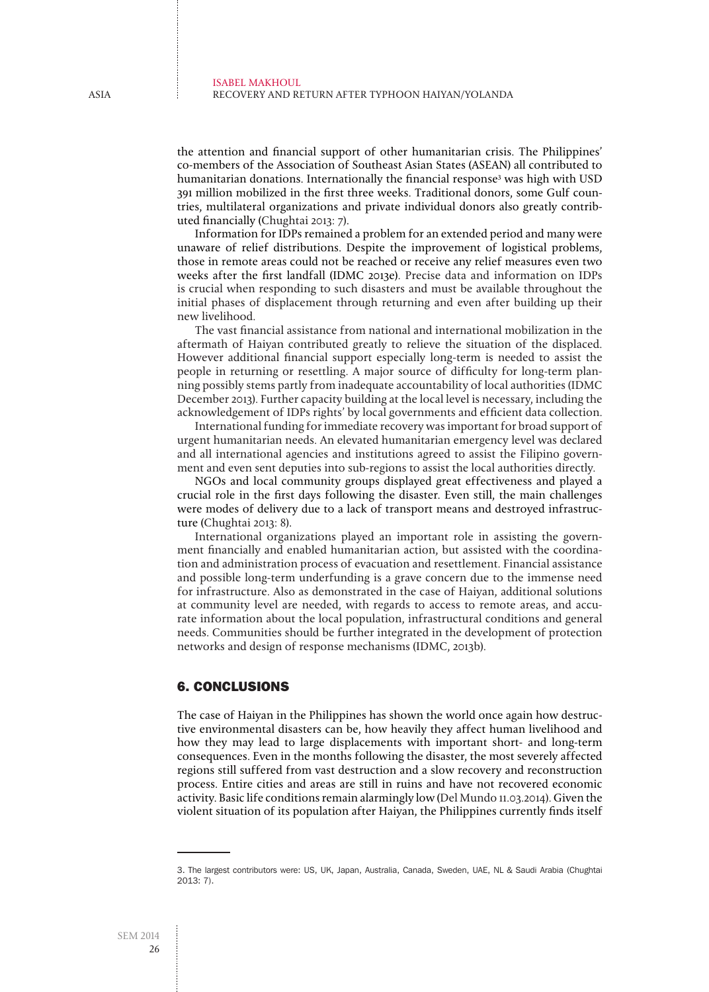the attention and financial support of other humanitarian crisis. The Philippines' co-members of the Association of Southeast Asian States (ASEAN) all contributed to humanitarian donations. Internationally the financial response3 was high with USD 391 million mobilized in the first three weeks. Traditional donors, some Gulf countries, multilateral organizations and private individual donors also greatly contributed financially (Chughtai 2013: 7).

Information for IDPs remained a problem for an extended period and many were unaware of relief distributions. Despite the improvement of logistical problems, those in remote areas could not be reached or receive any relief measures even two weeks after the first landfall (IDMC 2013e). Precise data and information on IDPs is crucial when responding to such disasters and must be available throughout the initial phases of displacement through returning and even after building up their new livelihood.

The vast financial assistance from national and international mobilization in the aftermath of Haiyan contributed greatly to relieve the situation of the displaced. However additional financial support especially long-term is needed to assist the people in returning or resettling. A major source of difficulty for long-term planning possibly stems partly from inadequate accountability of local authorities (IDMC December 2013). Further capacity building at the local level is necessary, including the acknowledgement of IDPs rights' by local governments and efficient data collection.

International funding for immediate recovery was important for broad support of urgent humanitarian needs. An elevated humanitarian emergency level was declared and all international agencies and institutions agreed to assist the Filipino government and even sent deputies into sub-regions to assist the local authorities directly.

NGOs and local community groups displayed great effectiveness and played a crucial role in the first days following the disaster. Even still, the main challenges were modes of delivery due to a lack of transport means and destroyed infrastructure (Chughtai 2013: 8).

International organizations played an important role in assisting the government financially and enabled humanitarian action, but assisted with the coordination and administration process of evacuation and resettlement. Financial assistance and possible long-term underfunding is a grave concern due to the immense need for infrastructure. Also as demonstrated in the case of Haiyan, additional solutions at community level are needed, with regards to access to remote areas, and accurate information about the local population, infrastructural conditions and general needs. Communities should be further integrated in the development of protection networks and design of response mechanisms (IDMC, 2013b).

## 6. Conclusions

The case of Haiyan in the Philippines has shown the world once again how destructive environmental disasters can be, how heavily they affect human livelihood and how they may lead to large displacements with important short- and long-term consequences. Even in the months following the disaster, the most severely affected regions still suffered from vast destruction and a slow recovery and reconstruction process. Entire cities and areas are still in ruins and have not recovered economic activity. Basic life conditions remain alarmingly low (Del Mundo 11.03.2014). Given the violent situation of its population after Haiyan, the Philippines currently finds itself

<sup>3.</sup> The largest contributors were: US, UK, Japan, Australia, Canada, Sweden, UAE, NL & Saudi Arabia (Chughtai 2013: 7).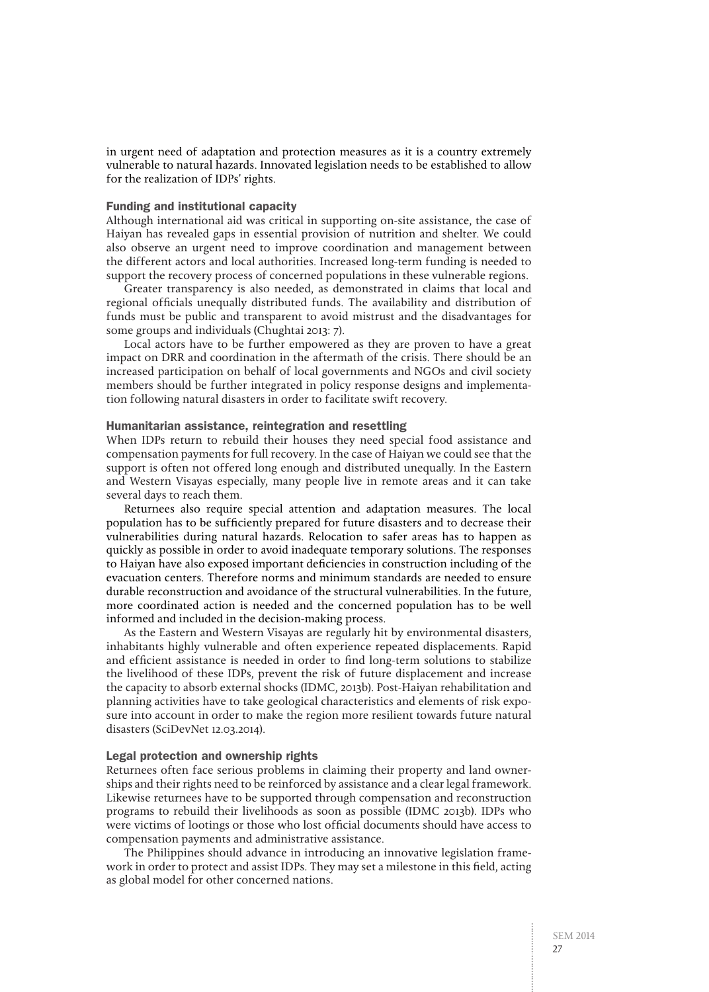in urgent need of adaptation and protection measures as it is a country extremely vulnerable to natural hazards. Innovated legislation needs to be established to allow for the realization of IDPs' rights.

## Funding and institutional capacity

Although international aid was critical in supporting on-site assistance, the case of Haiyan has revealed gaps in essential provision of nutrition and shelter. We could also observe an urgent need to improve coordination and management between the different actors and local authorities. Increased long-term funding is needed to support the recovery process of concerned populations in these vulnerable regions.

Greater transparency is also needed, as demonstrated in claims that local and regional officials unequally distributed funds. The availability and distribution of funds must be public and transparent to avoid mistrust and the disadvantages for some groups and individuals (Chughtai 2013: 7).

Local actors have to be further empowered as they are proven to have a great impact on DRR and coordination in the aftermath of the crisis. There should be an increased participation on behalf of local governments and NGOs and civil society members should be further integrated in policy response designs and implementation following natural disasters in order to facilitate swift recovery.

#### Humanitarian assistance, reintegration and resettling

When IDPs return to rebuild their houses they need special food assistance and compensation payments for full recovery. In the case of Haiyan we could see that the support is often not offered long enough and distributed unequally. In the Eastern and Western Visayas especially, many people live in remote areas and it can take several days to reach them.

Returnees also require special attention and adaptation measures. The local population has to be sufficiently prepared for future disasters and to decrease their vulnerabilities during natural hazards. Relocation to safer areas has to happen as quickly as possible in order to avoid inadequate temporary solutions. The responses to Haiyan have also exposed important deficiencies in construction including of the evacuation centers. Therefore norms and minimum standards are needed to ensure durable reconstruction and avoidance of the structural vulnerabilities. In the future, more coordinated action is needed and the concerned population has to be well informed and included in the decision-making process.

As the Eastern and Western Visayas are regularly hit by environmental disasters, inhabitants highly vulnerable and often experience repeated displacements. Rapid and efficient assistance is needed in order to find long-term solutions to stabilize the livelihood of these IDPs, prevent the risk of future displacement and increase the capacity to absorb external shocks (IDMC, 2013b). Post-Haiyan rehabilitation and planning activities have to take geological characteristics and elements of risk exposure into account in order to make the region more resilient towards future natural disasters (SciDevNet 12.03.2014).

#### Legal protection and ownership rights

Returnees often face serious problems in claiming their property and land ownerships and their rights need to be reinforced by assistance and a clear legal framework. Likewise returnees have to be supported through compensation and reconstruction programs to rebuild their livelihoods as soon as possible (IDMC 2013b). IDPs who were victims of lootings or those who lost official documents should have access to compensation payments and administrative assistance.

The Philippines should advance in introducing an innovative legislation framework in order to protect and assist IDPs. They may set a milestone in this field, acting as global model for other concerned nations.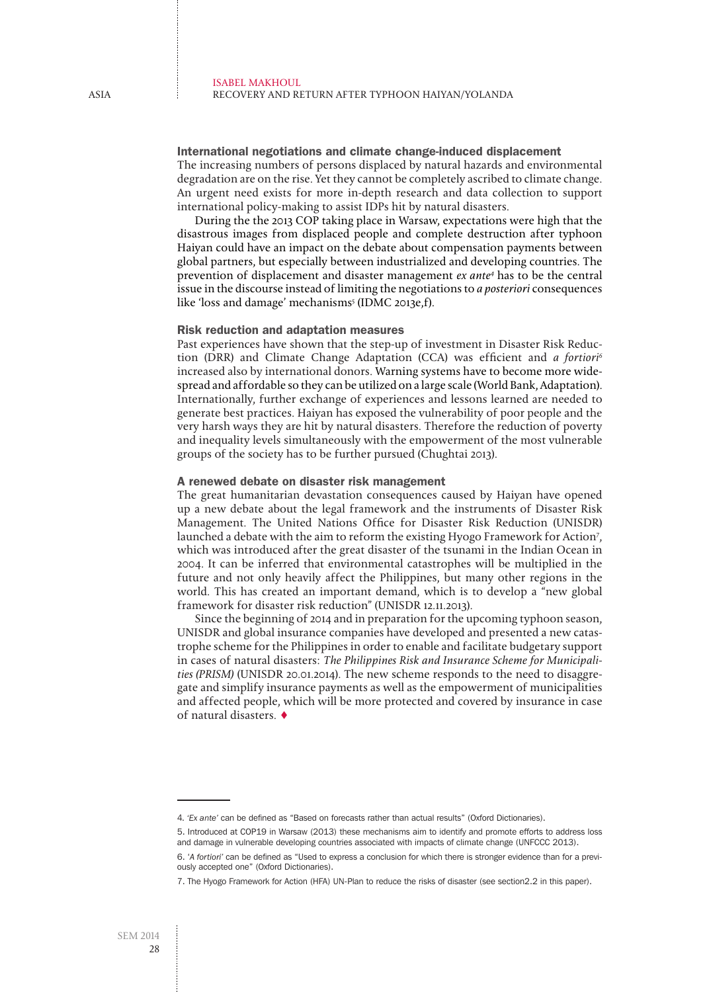#### International negotiations and climate change-induced displacement

The increasing numbers of persons displaced by natural hazards and environmental degradation are on the rise. Yet they cannot be completely ascribed to climate change. An urgent need exists for more in-depth research and data collection to support international policy-making to assist IDPs hit by natural disasters.

During the the 2013 COP taking place in Warsaw, expectations were high that the disastrous images from displaced people and complete destruction after typhoon Haiyan could have an impact on the debate about compensation payments between global partners, but especially between industrialized and developing countries. The prevention of displacement and disaster management ex ante<sup>4</sup> has to be the central issue in the discourse instead of limiting the negotiations to a posteriori consequences like 'loss and damage' mechanisms<sup>5</sup> (IDMC 2013e,f).

## Risk reduction and adaptation measures

Past experiences have shown that the step-up of investment in Disaster Risk Reduction (DRR) and Climate Change Adaptation (CCA) was efficient and a fortiori<sup>6</sup> increased also by international donors. Warning systems have to become more widespread and affordable so they can be utilized on a large scale (World Bank, Adaptation). Internationally, further exchange of experiences and lessons learned are needed to generate best practices. Haiyan has exposed the vulnerability of poor people and the very harsh ways they are hit by natural disasters. Therefore the reduction of poverty and inequality levels simultaneously with the empowerment of the most vulnerable groups of the society has to be further pursued (Chughtai 2013).

## A renewed debate on disaster risk management

The great humanitarian devastation consequences caused by Haiyan have opened up a new debate about the legal framework and the instruments of Disaster Risk Management. The United Nations Office for Disaster Risk Reduction (UNISDR) launched a debate with the aim to reform the existing Hyogo Framework for Action<sup>7</sup>, which was introduced after the great disaster of the tsunami in the Indian Ocean in 2004. It can be inferred that environmental catastrophes will be multiplied in the future and not only heavily affect the Philippines, but many other regions in the world. This has created an important demand, which is to develop a "new global framework for disaster risk reduction" (UNISDR 12.11.2013).

Since the beginning of 2014 and in preparation for the upcoming typhoon season, UNISDR and global insurance companies have developed and presented a new catastrophe scheme for the Philippines in order to enable and facilitate budgetary support in cases of natural disasters: The Philippines Risk and Insurance Scheme for Municipalities (PRISM) (UNISDR 20.01.2014). The new scheme responds to the need to disaggregate and simplify insurance payments as well as the empowerment of municipalities and affected people, which will be more protected and covered by insurance in case of natural disasters. ♦

<sup>4</sup>*. 'Ex ante'* can be defined as "Based on forecasts rather than actual results" (Oxford Dictionaries).

<sup>5.</sup> Introduced at COP19 in Warsaw (2013) these mechanisms aim to identify and promote efforts to address loss and damage in vulnerable developing countries associated with impacts of climate change (UNFCCC 2013).

<sup>6. &#</sup>x27;*A fortiori'* can be defined as "Used to express a conclusion for which there is stronger evidence than for a previously accepted one" (Oxford Dictionaries).

<sup>7.</sup> The Hyogo Framework for Action (HFA) UN-Plan to reduce the risks of disaster (see section2.2 in this paper).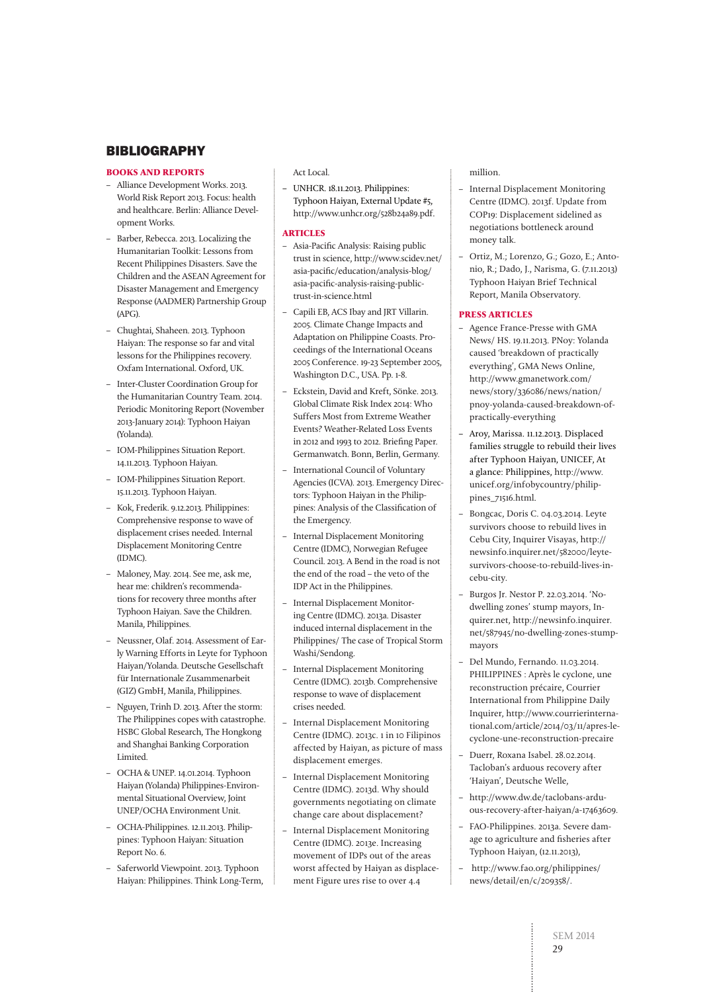## **BIBLIOGRAPHY**

## **BOOKS AND REPORTS**

- Alliance Development Works. 2013. World Risk Report 2013. Focus: health and healthcare. Berlin: Alliance Development Works.
- Barber, Rebecca. 2013. Localizing the Humanitarian Toolkit: Lessons from Recent Philippines Disasters. Save the Children and the ASEAN Agreement for Disaster Management and Emergency Response (AADMER) Partnership Group (APG).
- Chughtai, Shaheen. 2013. Typhoon Haiyan: The response so far and vital lessons for the Philippines recovery. Oxfam International. Oxford, UK.
- Inter-Cluster Coordination Group for the Humanitarian Country Team. 2014. Periodic Monitoring Report (November 2013-January 2014): Typhoon Haiyan (Yolanda).
- IOM-Philippines Situation Report. 14.11.2013. Typhoon Haiyan.
- IOM-Philippines Situation Report. 15.11.2013. Typhoon Haiyan.
- Kok, Frederik. 9.12.2013. Philippines: Comprehensive response to wave of displacement crises needed. Internal Displacement Monitoring Centre (IDMC).
- Maloney, May. 2014. See me, ask me, hear me: children's recommendations for recovery three months after Typhoon Haiyan. Save the Children. Manila, Philippines.
- Neussner, Olaf. 2014. Assessment of Early Warning Efforts in Leyte for Typhoon Haiyan/Yolanda. Deutsche Gesellschaft für Internationale Zusammenarbeit (GIZ) GmbH, Manila, Philippines.
- Nguyen, Trinh D. 2013. After the storm: The Philippines copes with catastrophe. HSBC Global Research, The Hongkong and Shanghai Banking Corporation Limited.
- OCHA & UNEP. 14.01.2014. Typhoon Haiyan (Yolanda) Philippines-Environmental Situational Overview, Joint UNEP/OCHA Environment Unit.
- OCHA-Philippines. 12.11.2013. Philippines: Typhoon Haiyan: Situation Report No. 6.
- Saferworld Viewpoint. 2013. Typhoon Haiyan: Philippines. Think Long-Term,

## Act Local.

– UNHCR. 18.11.2013. Philippines: Typhoon Haiyan, External Update #5, http://www.unhcr.org/528b24a89.pdf.

## **ARTICLES**

- Asia-Pacific Analysis: Raising public trust in science, http://www.scidev.net/ asia-pacific/education/analysis-blog/ asia-pacific-analysis-raising-publictrust-in-science.html
- Capili EB, ACS Ibay and JRT Villarin. 2005. Climate Change Impacts and Adaptation on Philippine Coasts. Proceedings of the International Oceans 2005 Conference. 19-23 September 2005, Washington D.C., USA. Pp. 1-8.
- Eckstein, David and Kreft, Sönke. 2013. Global Climate Risk Index 2014: Who Suffers Most from Extreme Weather Events? Weather-Related Loss Events in 2012 and 1993 to 2012. Briefing Paper. Germanwatch. Bonn, Berlin, Germany.
- International Council of Voluntary Agencies (ICVA). 2013. Emergency Directors: Typhoon Haiyan in the Philippines: Analysis of the Classification of the Emergency.
- Internal Displacement Monitoring Centre (IDMC), Norwegian Refugee Council. 2013. A Bend in the road is not the end of the road – the veto of the IDP Act in the Philippines.
- Internal Displacement Monitoring Centre (IDMC). 2013a. Disaster induced internal displacement in the Philippines/ The case of Tropical Storm Washi/Sendong.
- Internal Displacement Monitoring Centre (IDMC). 2013b. Comprehensive response to wave of displacement crises needed.
- Internal Displacement Monitoring Centre (IDMC). 2013c. 1 in 10 Filipinos affected by Haiyan, as picture of mass displacement emerges.
- Internal Displacement Monitoring Centre (IDMC). 2013d. Why should governments negotiating on climate change care about displacement?
- Internal Displacement Monitoring Centre (IDMC). 2013e. Increasing movement of IDPs out of the areas worst affected by Haiyan as displacement Figure ures rise to over 4.4

## million.

- Internal Displacement Monitoring Centre (IDMC). 2013f. Update from COP19: Displacement sidelined as negotiations bottleneck around money talk.
- Ortiz, M.; Lorenzo, G.; Gozo, E.; Antonio, R.; Dado, J., Narisma, G. (7.11.2013) Typhoon Haiyan Brief Technical Report, Manila Observatory.

## **PRESS ARTICLES**

- Agence France-Presse with GMA News/ HS. 19.11.2013. PNoy: Yolanda caused 'breakdown of practically everything', GMA News Online, http://www.gmanetwork.com/ news/story/336086/news/nation/ pnoy-yolanda-caused-breakdown-ofpractically-everything
- Aroy, Marissa. 11.12.2013. Displaced families struggle to rebuild their lives after Typhoon Haiyan, UNICEF, At a glance: Philippines, http://www. unicef.org/infobycountry/philippines\_71516.html.
- Bongcac, Doris C. 04.03.2014. Leyte survivors choose to rebuild lives in Cebu City, Inquirer Visayas, http:// newsinfo.inquirer.net/582000/leytesurvivors-choose-to-rebuild-lives-incebu-city.
- Burgos Jr. Nestor P. 22.03.2014. 'Nodwelling zones' stump mayors, Inquirer.net, http://newsinfo.inquirer. net/587945/no-dwelling-zones-stumpmayors
- Del Mundo, Fernando. 11.03.2014. PHILIPPINES : Après le cyclone, une reconstruction précaire, Courrier International from Philippine Daily Inquirer, http://www.courrierinternational.com/article/2014/03/11/apres-lecyclone-une-reconstruction-precaire
- Duerr, Roxana Isabel. 28.02.2014. Tacloban's arduous recovery after 'Haiyan', Deutsche Welle,
- http://www.dw.de/taclobans-arduous-recovery-after-haiyan/a-17463609.
- FAO-Philippines. 2013a. Severe damage to agriculture and fisheries after Typhoon Haiyan, (12.11.2013),
- http://www.fao.org/philippines/ news/detail/en/c/209358/.